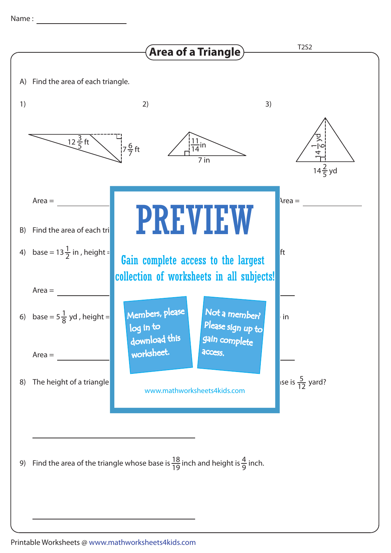